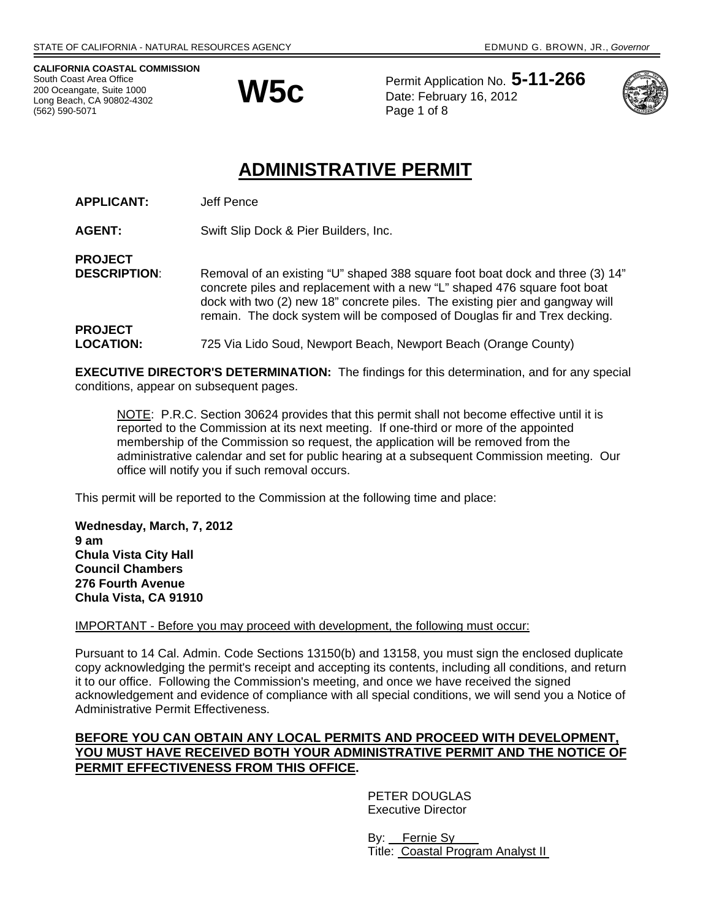**CALIFORNIA COASTAL COMMISSION**  South Coast Area Office 200 Oceangate, Suite 1000 Long Beach, CA 90802-4302 (562) 590-5071



Permit Application No. **5-11-266 W5C** Permit Application No. 3<br>Date: February 16, 2012 Page 1 of 8



# **ADMINISTRATIVE PERMIT**

**APPLICANT:** Jeff Pence

**AGENT:** Swift Slip Dock & Pier Builders, Inc.

**PROJECT** 

**PROJECT** 

**DESCRIPTION:** Removal of an existing "U" shaped 388 square foot boat dock and three (3) 14" concrete piles and replacement with a new "L" shaped 476 square foot boat dock with two (2) new 18" concrete piles. The existing pier and gangway will remain. The dock system will be composed of Douglas fir and Trex decking.

**LOCATION:** 725 Via Lido Soud, Newport Beach, Newport Beach (Orange County)

**EXECUTIVE DIRECTOR'S DETERMINATION:** The findings for this determination, and for any special conditions, appear on subsequent pages.

NOTE: P.R.C. Section 30624 provides that this permit shall not become effective until it is reported to the Commission at its next meeting. If one-third or more of the appointed membership of the Commission so request, the application will be removed from the administrative calendar and set for public hearing at a subsequent Commission meeting. Our office will notify you if such removal occurs.

This permit will be reported to the Commission at the following time and place:

**Wednesday, March, 7, 2012 9 am Chula Vista City Hall Council Chambers 276 Fourth Avenue Chula Vista, CA 91910** 

### IMPORTANT - Before you may proceed with development, the following must occur:

Pursuant to 14 Cal. Admin. Code Sections 13150(b) and 13158, you must sign the enclosed duplicate copy acknowledging the permit's receipt and accepting its contents, including all conditions, and return it to our office. Following the Commission's meeting, and once we have received the signed acknowledgement and evidence of compliance with all special conditions, we will send you a Notice of Administrative Permit Effectiveness.

### **BEFORE YOU CAN OBTAIN ANY LOCAL PERMITS AND PROCEED WITH DEVELOPMENT, YOU MUST HAVE RECEIVED BOTH YOUR ADMINISTRATIVE PERMIT AND THE NOTICE OF PERMIT EFFECTIVENESS FROM THIS OFFICE.**

 PETER DOUGLAS Executive Director

 By: Fernie Sy Title: Coastal Program Analyst II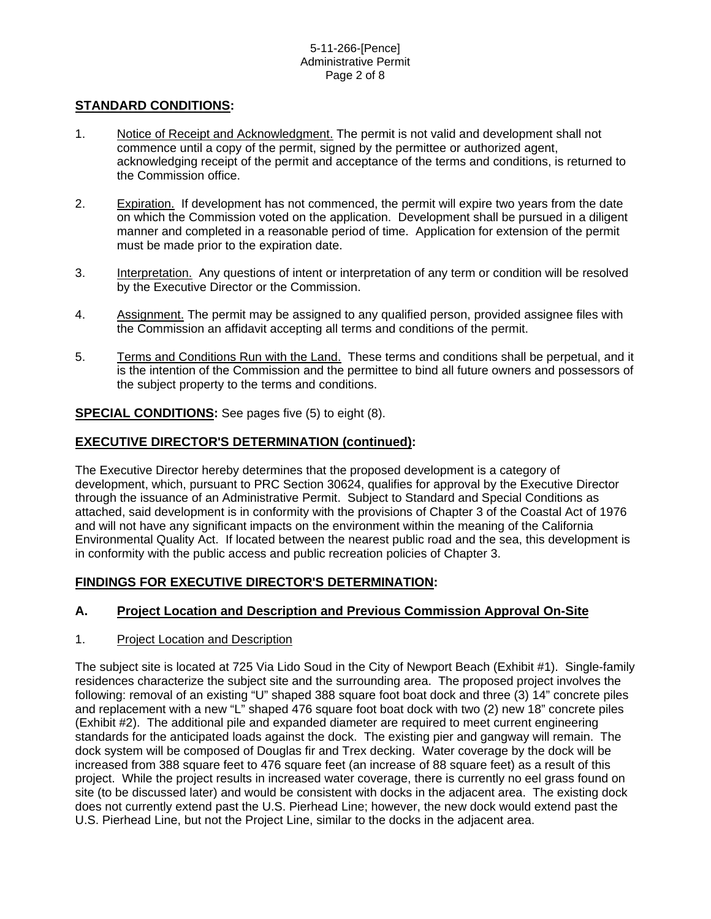# **STANDARD CONDITIONS:**

- 1. Notice of Receipt and Acknowledgment. The permit is not valid and development shall not commence until a copy of the permit, signed by the permittee or authorized agent, acknowledging receipt of the permit and acceptance of the terms and conditions, is returned to the Commission office.
- 2. Expiration. If development has not commenced, the permit will expire two years from the date on which the Commission voted on the application. Development shall be pursued in a diligent manner and completed in a reasonable period of time. Application for extension of the permit must be made prior to the expiration date.
- 3. Interpretation. Any questions of intent or interpretation of any term or condition will be resolved by the Executive Director or the Commission.
- 4. Assignment. The permit may be assigned to any qualified person, provided assignee files with the Commission an affidavit accepting all terms and conditions of the permit.
- 5. Terms and Conditions Run with the Land. These terms and conditions shall be perpetual, and it is the intention of the Commission and the permittee to bind all future owners and possessors of the subject property to the terms and conditions.

**SPECIAL CONDITIONS:** See pages five (5) to eight (8).

### **EXECUTIVE DIRECTOR'S DETERMINATION (continued):**

The Executive Director hereby determines that the proposed development is a category of development, which, pursuant to PRC Section 30624, qualifies for approval by the Executive Director through the issuance of an Administrative Permit. Subject to Standard and Special Conditions as attached, said development is in conformity with the provisions of Chapter 3 of the Coastal Act of 1976 and will not have any significant impacts on the environment within the meaning of the California Environmental Quality Act. If located between the nearest public road and the sea, this development is in conformity with the public access and public recreation policies of Chapter 3.

# **FINDINGS FOR EXECUTIVE DIRECTOR'S DETERMINATION:**

# **A. Project Location and Description and Previous Commission Approval On-Site**

### 1. Project Location and Description

The subject site is located at 725 Via Lido Soud in the City of Newport Beach (Exhibit #1). Single-family residences characterize the subject site and the surrounding area. The proposed project involves the following: removal of an existing "U" shaped 388 square foot boat dock and three (3) 14" concrete piles and replacement with a new "L" shaped 476 square foot boat dock with two (2) new 18" concrete piles (Exhibit #2). The additional pile and expanded diameter are required to meet current engineering standards for the anticipated loads against the dock. The existing pier and gangway will remain. The dock system will be composed of Douglas fir and Trex decking. Water coverage by the dock will be increased from 388 square feet to 476 square feet (an increase of 88 square feet) as a result of this project. While the project results in increased water coverage, there is currently no eel grass found on site (to be discussed later) and would be consistent with docks in the adjacent area. The existing dock does not currently extend past the U.S. Pierhead Line; however, the new dock would extend past the U.S. Pierhead Line, but not the Project Line, similar to the docks in the adjacent area.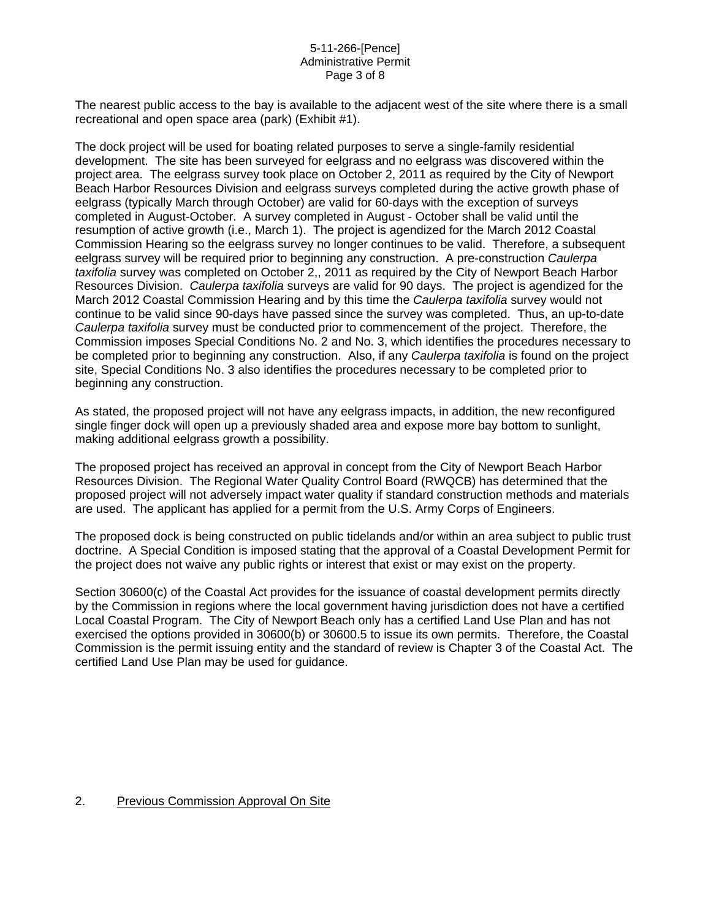### 5-11-266-[Pence] Administrative Permit Page 3 of 8

The nearest public access to the bay is available to the adjacent west of the site where there is a small recreational and open space area (park) (Exhibit #1).

The dock project will be used for boating related purposes to serve a single-family residential development. The site has been surveyed for eelgrass and no eelgrass was discovered within the project area. The eelgrass survey took place on October 2, 2011 as required by the City of Newport Beach Harbor Resources Division and eelgrass surveys completed during the active growth phase of eelgrass (typically March through October) are valid for 60-days with the exception of surveys completed in August-October. A survey completed in August - October shall be valid until the resumption of active growth (i.e., March 1). The project is agendized for the March 2012 Coastal Commission Hearing so the eelgrass survey no longer continues to be valid. Therefore, a subsequent eelgrass survey will be required prior to beginning any construction. A pre-construction *Caulerpa taxifolia* survey was completed on October 2,, 2011 as required by the City of Newport Beach Harbor Resources Division. *Caulerpa taxifolia* surveys are valid for 90 days. The project is agendized for the March 2012 Coastal Commission Hearing and by this time the *Caulerpa taxifolia* survey would not continue to be valid since 90-days have passed since the survey was completed. Thus, an up-to-date *Caulerpa taxifolia* survey must be conducted prior to commencement of the project. Therefore, the Commission imposes Special Conditions No. 2 and No. 3, which identifies the procedures necessary to be completed prior to beginning any construction. Also, if any *Caulerpa taxifolia* is found on the project site, Special Conditions No. 3 also identifies the procedures necessary to be completed prior to beginning any construction.

As stated, the proposed project will not have any eelgrass impacts, in addition, the new reconfigured single finger dock will open up a previously shaded area and expose more bay bottom to sunlight, making additional eelgrass growth a possibility.

The proposed project has received an approval in concept from the City of Newport Beach Harbor Resources Division. The Regional Water Quality Control Board (RWQCB) has determined that the proposed project will not adversely impact water quality if standard construction methods and materials are used. The applicant has applied for a permit from the U.S. Army Corps of Engineers.

The proposed dock is being constructed on public tidelands and/or within an area subject to public trust doctrine. A Special Condition is imposed stating that the approval of a Coastal Development Permit for the project does not waive any public rights or interest that exist or may exist on the property.

Section 30600(c) of the Coastal Act provides for the issuance of coastal development permits directly by the Commission in regions where the local government having jurisdiction does not have a certified Local Coastal Program. The City of Newport Beach only has a certified Land Use Plan and has not exercised the options provided in 30600(b) or 30600.5 to issue its own permits. Therefore, the Coastal Commission is the permit issuing entity and the standard of review is Chapter 3 of the Coastal Act. The certified Land Use Plan may be used for guidance.

### 2. Previous Commission Approval On Site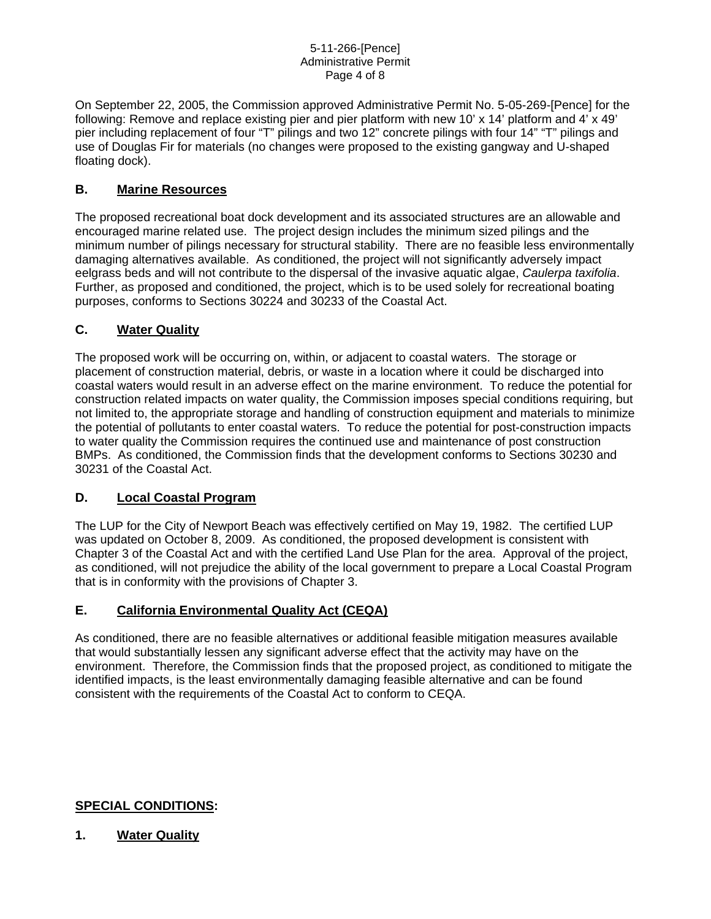On September 22, 2005, the Commission approved Administrative Permit No. 5-05-269-[Pence] for the following: Remove and replace existing pier and pier platform with new 10' x 14' platform and 4' x 49' pier including replacement of four "T" pilings and two 12" concrete pilings with four 14" "T" pilings and use of Douglas Fir for materials (no changes were proposed to the existing gangway and U-shaped floating dock).

# **B. Marine Resources**

The proposed recreational boat dock development and its associated structures are an allowable and encouraged marine related use. The project design includes the minimum sized pilings and the minimum number of pilings necessary for structural stability. There are no feasible less environmentally damaging alternatives available. As conditioned, the project will not significantly adversely impact eelgrass beds and will not contribute to the dispersal of the invasive aquatic algae, *Caulerpa taxifolia*. Further, as proposed and conditioned, the project, which is to be used solely for recreational boating purposes, conforms to Sections 30224 and 30233 of the Coastal Act.

# **C. Water Quality**

The proposed work will be occurring on, within, or adjacent to coastal waters. The storage or placement of construction material, debris, or waste in a location where it could be discharged into coastal waters would result in an adverse effect on the marine environment. To reduce the potential for construction related impacts on water quality, the Commission imposes special conditions requiring, but not limited to, the appropriate storage and handling of construction equipment and materials to minimize the potential of pollutants to enter coastal waters. To reduce the potential for post-construction impacts to water quality the Commission requires the continued use and maintenance of post construction BMPs. As conditioned, the Commission finds that the development conforms to Sections 30230 and 30231 of the Coastal Act.

# **D. Local Coastal Program**

The LUP for the City of Newport Beach was effectively certified on May 19, 1982. The certified LUP was updated on October 8, 2009. As conditioned, the proposed development is consistent with Chapter 3 of the Coastal Act and with the certified Land Use Plan for the area. Approval of the project, as conditioned, will not prejudice the ability of the local government to prepare a Local Coastal Program that is in conformity with the provisions of Chapter 3.

# **E. California Environmental Quality Act (CEQA)**

As conditioned, there are no feasible alternatives or additional feasible mitigation measures available that would substantially lessen any significant adverse effect that the activity may have on the environment. Therefore, the Commission finds that the proposed project, as conditioned to mitigate the identified impacts, is the least environmentally damaging feasible alternative and can be found consistent with the requirements of the Coastal Act to conform to CEQA.

# **SPECIAL CONDITIONS:**

# **1. Water Quality**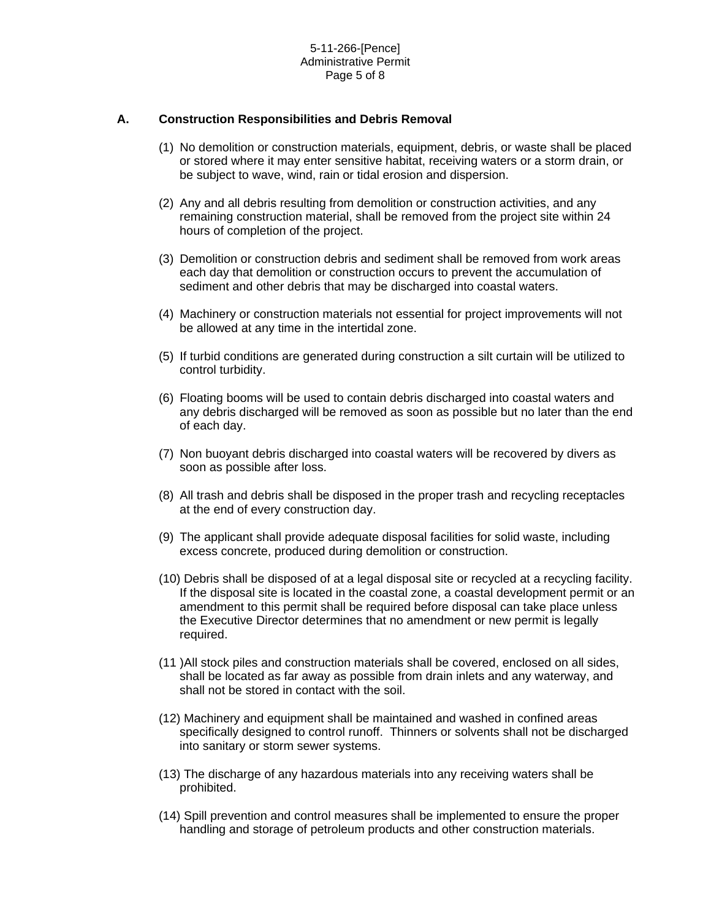### **A. Construction Responsibilities and Debris Removal**

- (1) No demolition or construction materials, equipment, debris, or waste shall be placed or stored where it may enter sensitive habitat, receiving waters or a storm drain, or be subject to wave, wind, rain or tidal erosion and dispersion.
- (2) Any and all debris resulting from demolition or construction activities, and any remaining construction material, shall be removed from the project site within 24 hours of completion of the project.
- (3) Demolition or construction debris and sediment shall be removed from work areas each day that demolition or construction occurs to prevent the accumulation of sediment and other debris that may be discharged into coastal waters.
- (4) Machinery or construction materials not essential for project improvements will not be allowed at any time in the intertidal zone.
- (5) If turbid conditions are generated during construction a silt curtain will be utilized to control turbidity.
- (6) Floating booms will be used to contain debris discharged into coastal waters and any debris discharged will be removed as soon as possible but no later than the end of each day.
- (7) Non buoyant debris discharged into coastal waters will be recovered by divers as soon as possible after loss.
- (8) All trash and debris shall be disposed in the proper trash and recycling receptacles at the end of every construction day.
- (9) The applicant shall provide adequate disposal facilities for solid waste, including excess concrete, produced during demolition or construction.
- (10) Debris shall be disposed of at a legal disposal site or recycled at a recycling facility. If the disposal site is located in the coastal zone, a coastal development permit or an amendment to this permit shall be required before disposal can take place unless the Executive Director determines that no amendment or new permit is legally required.
- (11 )All stock piles and construction materials shall be covered, enclosed on all sides, shall be located as far away as possible from drain inlets and any waterway, and shall not be stored in contact with the soil.
- (12) Machinery and equipment shall be maintained and washed in confined areas specifically designed to control runoff. Thinners or solvents shall not be discharged into sanitary or storm sewer systems.
- (13) The discharge of any hazardous materials into any receiving waters shall be prohibited.
- (14) Spill prevention and control measures shall be implemented to ensure the proper handling and storage of petroleum products and other construction materials.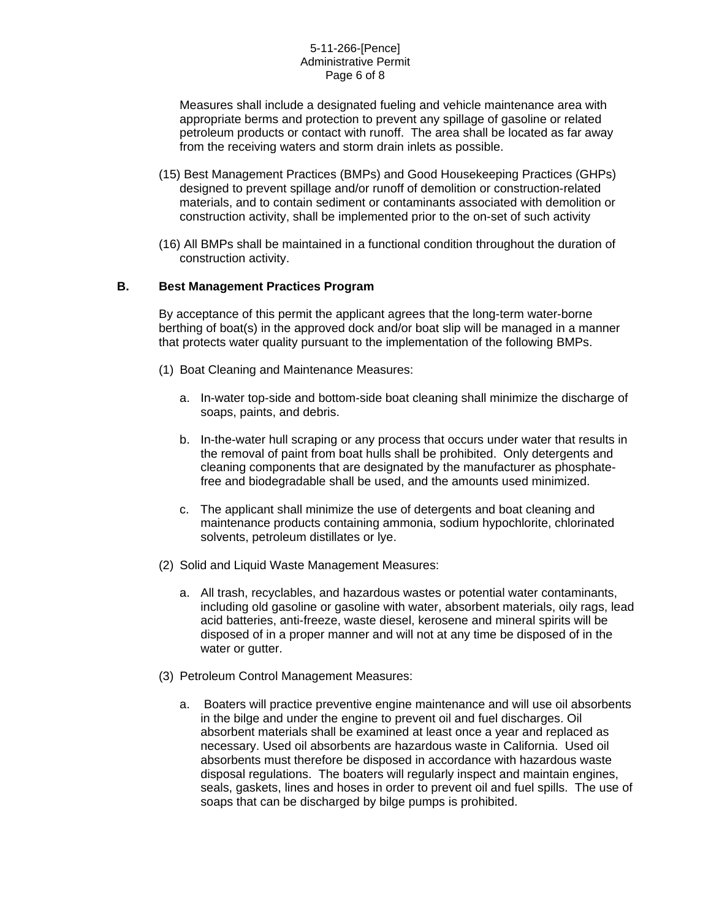#### 5-11-266-[Pence] Administrative Permit Page 6 of 8

Measures shall include a designated fueling and vehicle maintenance area with appropriate berms and protection to prevent any spillage of gasoline or related petroleum products or contact with runoff. The area shall be located as far away from the receiving waters and storm drain inlets as possible.

- (15) Best Management Practices (BMPs) and Good Housekeeping Practices (GHPs) designed to prevent spillage and/or runoff of demolition or construction-related materials, and to contain sediment or contaminants associated with demolition or construction activity, shall be implemented prior to the on-set of such activity
- (16) All BMPs shall be maintained in a functional condition throughout the duration of construction activity.

### **B. Best Management Practices Program**

By acceptance of this permit the applicant agrees that the long-term water-borne berthing of boat(s) in the approved dock and/or boat slip will be managed in a manner that protects water quality pursuant to the implementation of the following BMPs.

- (1) Boat Cleaning and Maintenance Measures:
	- a. In-water top-side and bottom-side boat cleaning shall minimize the discharge of soaps, paints, and debris.
	- b. In-the-water hull scraping or any process that occurs under water that results in the removal of paint from boat hulls shall be prohibited. Only detergents and cleaning components that are designated by the manufacturer as phosphatefree and biodegradable shall be used, and the amounts used minimized.
	- c. The applicant shall minimize the use of detergents and boat cleaning and maintenance products containing ammonia, sodium hypochlorite, chlorinated solvents, petroleum distillates or lye.
- (2) Solid and Liquid Waste Management Measures:
	- a. All trash, recyclables, and hazardous wastes or potential water contaminants, including old gasoline or gasoline with water, absorbent materials, oily rags, lead acid batteries, anti-freeze, waste diesel, kerosene and mineral spirits will be disposed of in a proper manner and will not at any time be disposed of in the water or gutter.
- (3) Petroleum Control Management Measures:
	- a. Boaters will practice preventive engine maintenance and will use oil absorbents in the bilge and under the engine to prevent oil and fuel discharges. Oil absorbent materials shall be examined at least once a year and replaced as necessary. Used oil absorbents are hazardous waste in California. Used oil absorbents must therefore be disposed in accordance with hazardous waste disposal regulations. The boaters will regularly inspect and maintain engines, seals, gaskets, lines and hoses in order to prevent oil and fuel spills. The use of soaps that can be discharged by bilge pumps is prohibited.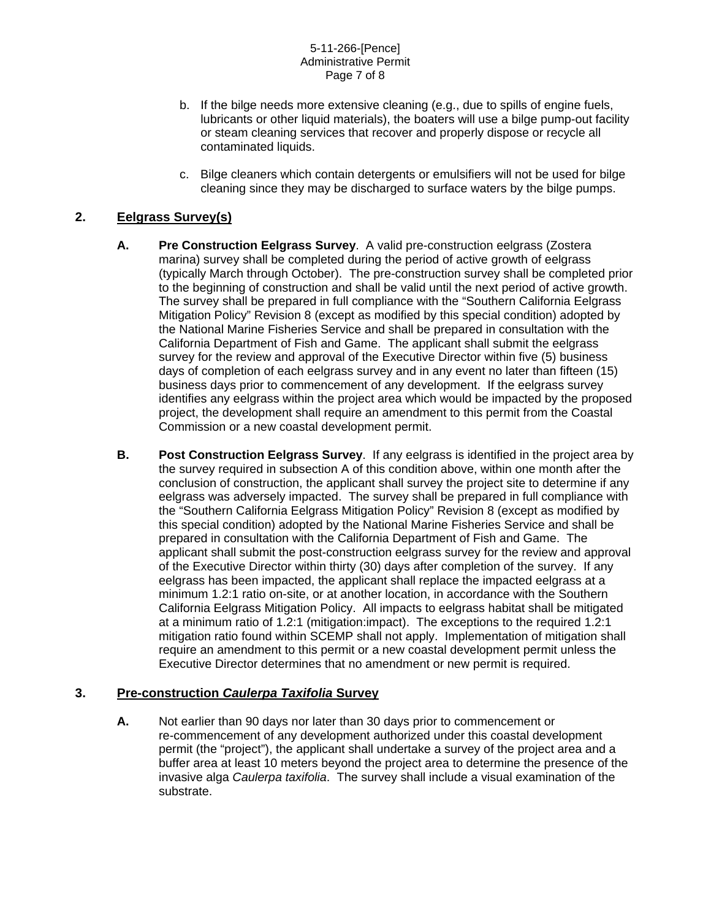- b. If the bilge needs more extensive cleaning (e.g., due to spills of engine fuels, lubricants or other liquid materials), the boaters will use a bilge pump-out facility or steam cleaning services that recover and properly dispose or recycle all contaminated liquids.
- c. Bilge cleaners which contain detergents or emulsifiers will not be used for bilge cleaning since they may be discharged to surface waters by the bilge pumps.

# **2. Eelgrass Survey(s)**

- **A. Pre Construction Eelgrass Survey**. A valid pre-construction eelgrass (Zostera marina) survey shall be completed during the period of active growth of eelgrass (typically March through October). The pre-construction survey shall be completed prior to the beginning of construction and shall be valid until the next period of active growth. The survey shall be prepared in full compliance with the "Southern California Eelgrass Mitigation Policy" Revision 8 (except as modified by this special condition) adopted by the National Marine Fisheries Service and shall be prepared in consultation with the California Department of Fish and Game. The applicant shall submit the eelgrass survey for the review and approval of the Executive Director within five (5) business days of completion of each eelgrass survey and in any event no later than fifteen (15) business days prior to commencement of any development. If the eelgrass survey identifies any eelgrass within the project area which would be impacted by the proposed project, the development shall require an amendment to this permit from the Coastal Commission or a new coastal development permit.
- **B. Post Construction Eelgrass Survey**. If any eelgrass is identified in the project area by the survey required in subsection A of this condition above, within one month after the conclusion of construction, the applicant shall survey the project site to determine if any eelgrass was adversely impacted. The survey shall be prepared in full compliance with the "Southern California Eelgrass Mitigation Policy" Revision 8 (except as modified by this special condition) adopted by the National Marine Fisheries Service and shall be prepared in consultation with the California Department of Fish and Game. The applicant shall submit the post-construction eelgrass survey for the review and approval of the Executive Director within thirty (30) days after completion of the survey. If any eelgrass has been impacted, the applicant shall replace the impacted eelgrass at a minimum 1.2:1 ratio on-site, or at another location, in accordance with the Southern California Eelgrass Mitigation Policy. All impacts to eelgrass habitat shall be mitigated at a minimum ratio of 1.2:1 (mitigation:impact). The exceptions to the required 1.2:1 mitigation ratio found within SCEMP shall not apply. Implementation of mitigation shall require an amendment to this permit or a new coastal development permit unless the Executive Director determines that no amendment or new permit is required.

### **3. Pre-construction** *Caulerpa Taxifolia* **Survey**

**A.** Not earlier than 90 days nor later than 30 days prior to commencement or re-commencement of any development authorized under this coastal development permit (the "project"), the applicant shall undertake a survey of the project area and a buffer area at least 10 meters beyond the project area to determine the presence of the invasive alga *Caulerpa taxifolia*. The survey shall include a visual examination of the substrate.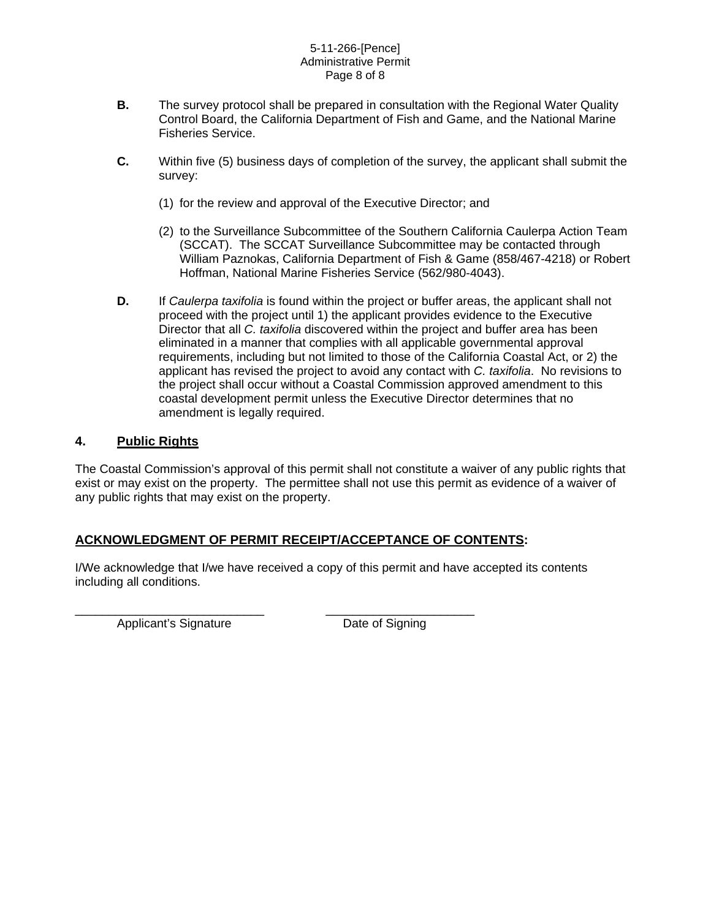### 5-11-266-[Pence] Administrative Permit Page 8 of 8

- **B.** The survey protocol shall be prepared in consultation with the Regional Water Quality Control Board, the California Department of Fish and Game, and the National Marine Fisheries Service.
- **C.** Within five (5) business days of completion of the survey, the applicant shall submit the survey:
	- (1) for the review and approval of the Executive Director; and
	- (2) to the Surveillance Subcommittee of the Southern California Caulerpa Action Team (SCCAT). The SCCAT Surveillance Subcommittee may be contacted through William Paznokas, California Department of Fish & Game (858/467-4218) or Robert Hoffman, National Marine Fisheries Service (562/980-4043).
- **D.** If *Caulerpa taxifolia* is found within the project or buffer areas, the applicant shall not proceed with the project until 1) the applicant provides evidence to the Executive Director that all *C. taxifolia* discovered within the project and buffer area has been eliminated in a manner that complies with all applicable governmental approval requirements, including but not limited to those of the California Coastal Act, or 2) the applicant has revised the project to avoid any contact with *C. taxifolia*. No revisions to the project shall occur without a Coastal Commission approved amendment to this coastal development permit unless the Executive Director determines that no amendment is legally required.

# **4. Public Rights**

The Coastal Commission's approval of this permit shall not constitute a waiver of any public rights that exist or may exist on the property. The permittee shall not use this permit as evidence of a waiver of any public rights that may exist on the property.

# **ACKNOWLEDGMENT OF PERMIT RECEIPT/ACCEPTANCE OF CONTENTS:**

I/We acknowledge that I/we have received a copy of this permit and have accepted its contents including all conditions.

\_\_\_\_\_\_\_\_\_\_\_\_\_\_\_\_\_\_\_\_\_\_\_\_\_\_\_\_ \_\_\_\_\_\_\_\_\_\_\_\_\_\_\_\_\_\_\_\_\_\_ Applicant's Signature Date of Signing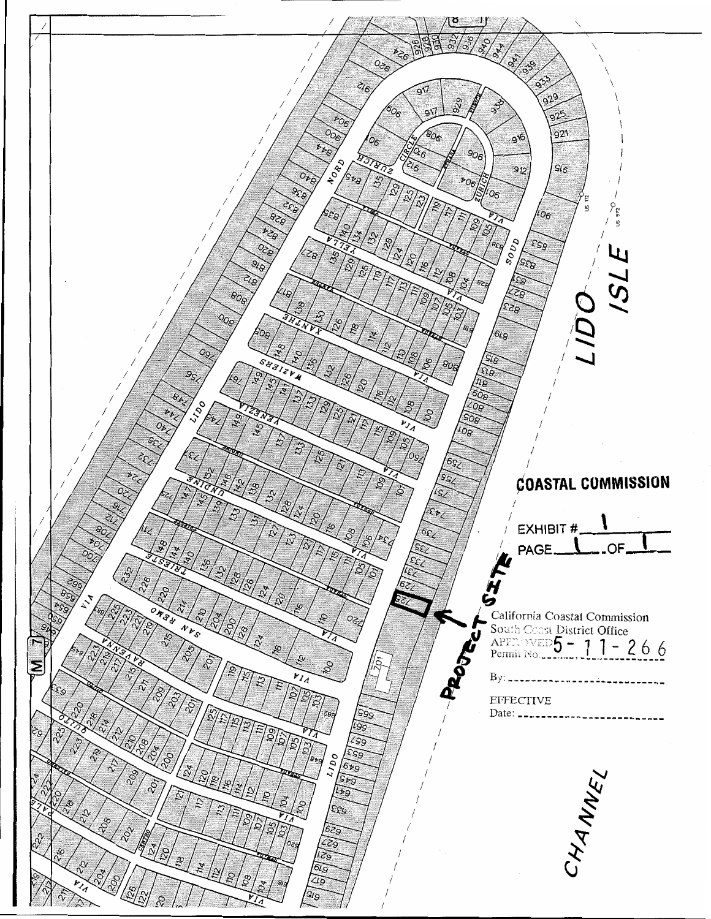